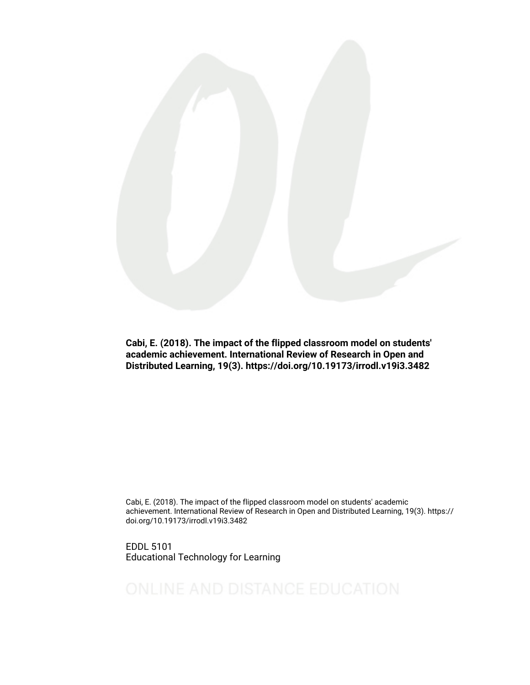

Cabi, E. (2018). The impact of the flipped classroom model on students' academic achievement. International Review of Research in Open and Distributed Learning, 19(3). https://doi.org/10.19173/irrodl.v19i3.3482

Cabi, E. (2018). The impact of the flipped classroom model on students' academic achievement. International Review of Research in Open and Distributed Learning, 19(3). https:// doi.org/10.19173/irrodl.v19i3.3482

EDDL 5101 Educational Technology for Learning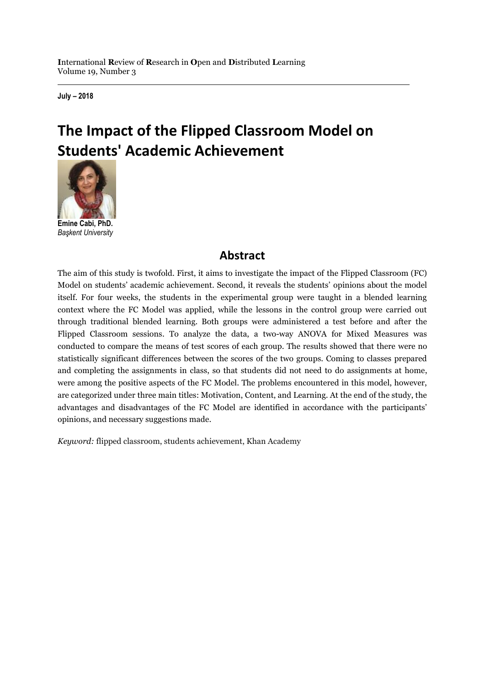**July – 2018**

# **The Impact of the Flipped Classroom Model on Students' Academic Achievement**



*Başkent University*

### **Abstract**

The aim of this study is twofold. First, it aims to investigate the impact of the Flipped Classroom (FC) Model on students' academic achievement. Second, it reveals the students' opinions about the model itself. For four weeks, the students in the experimental group were taught in a blended learning context where the FC Model was applied, while the lessons in the control group were carried out through traditional blended learning. Both groups were administered a test before and after the Flipped Classroom sessions. To analyze the data, a two-way ANOVA for Mixed Measures was conducted to compare the means of test scores of each group. The results showed that there were no statistically significant differences between the scores of the two groups. Coming to classes prepared and completing the assignments in class, so that students did not need to do assignments at home, were among the positive aspects of the FC Model. The problems encountered in this model, however, are categorized under three main titles: Motivation, Content, and Learning. At the end of the study, the advantages and disadvantages of the FC Model are identified in accordance with the participants' opinions, and necessary suggestions made.

*Keyword:* flipped classroom, students achievement, Khan Academy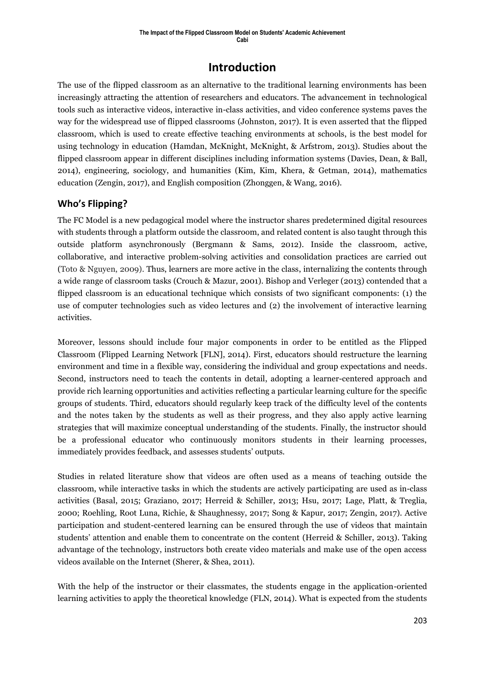### **Introduction**

The use of the flipped classroom as an alternative to the traditional learning environments has been increasingly attracting the attention of researchers and educators. The advancement in technological tools such as interactive videos, interactive in-class activities, and video conference systems paves the way for the widespread use of flipped classrooms (Johnston, 2017). It is even asserted that the flipped classroom, which is used to create effective teaching environments at schools, is the best model for using technology in education (Hamdan, McKnight, McKnight, & Arfstrom, 2013). Studies about the flipped classroom appear in different disciplines including information systems (Davies, Dean, & Ball, 2014), engineering, sociology, and humanities (Kim, Kim, Khera, & Getman, 2014), mathematics education (Zengin, 2017), and English composition (Zhonggen, & Wang, 2016).

#### **Who's Flipping?**

The FC Model is a new pedagogical model where the instructor shares predetermined digital resources with students through a platform outside the classroom, and related content is also taught through this outside platform asynchronously (Bergmann & Sams, 2012). Inside the classroom, active, collaborative, and interactive problem-solving activities and consolidation practices are carried out (Toto & Nguyen, 2009). Thus, learners are more active in the class, internalizing the contents through a wide range of classroom tasks (Crouch & Mazur, 2001). Bishop and Verleger (2013) contended that a flipped classroom is an educational technique which consists of two significant components: (1) the use of computer technologies such as video lectures and (2) the involvement of interactive learning activities.

Moreover, lessons should include four major components in order to be entitled as the Flipped Classroom (Flipped Learning Network [FLN], 2014). First, educators should restructure the learning environment and time in a flexible way, considering the individual and group expectations and needs. Second, instructors need to teach the contents in detail, adopting a learner-centered approach and provide rich learning opportunities and activities reflecting a particular learning culture for the specific groups of students. Third, educators should regularly keep track of the difficulty level of the contents and the notes taken by the students as well as their progress, and they also apply active learning strategies that will maximize conceptual understanding of the students. Finally, the instructor should be a professional educator who continuously monitors students in their learning processes, immediately provides feedback, and assesses students' outputs.

Studies in related literature show that videos are often used as a means of teaching outside the classroom, while interactive tasks in which the students are actively participating are used as in-class activities (Basal, 2015; Graziano, 2017; Herreid & Schiller, 2013; Hsu, 2017; Lage, Platt, & Treglia, 2000; Roehling, Root Luna, Richie, & Shaughnessy, 2017; Song & Kapur, 2017; Zengin, 2017). Active participation and student-centered learning can be ensured through the use of videos that maintain students' attention and enable them to concentrate on the content (Herreid & Schiller, 2013). Taking advantage of the technology, instructors both create video materials and make use of the open access videos available on the Internet (Sherer, & Shea, 2011).

With the help of the instructor or their classmates, the students engage in the application-oriented learning activities to apply the theoretical knowledge (FLN, 2014). What is expected from the students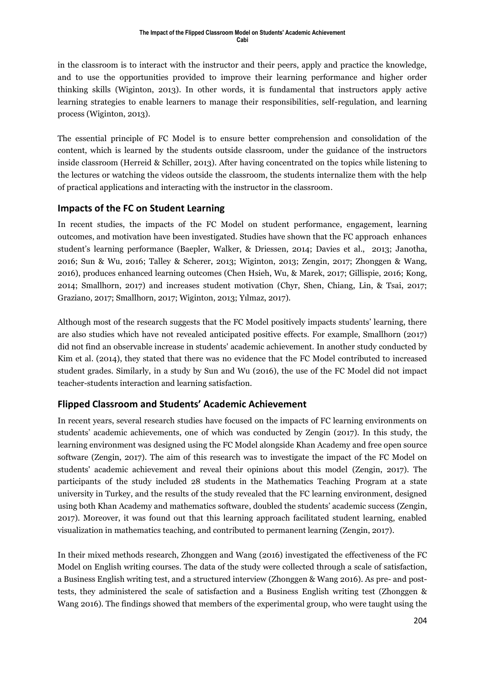in the classroom is to interact with the instructor and their peers, apply and practice the knowledge, and to use the opportunities provided to improve their learning performance and higher order thinking skills (Wiginton, 2013). In other words, it is fundamental that instructors apply active learning strategies to enable learners to manage their responsibilities, self-regulation, and learning process (Wiginton, 2013).

The essential principle of FC Model is to ensure better comprehension and consolidation of the content, which is learned by the students outside classroom, under the guidance of the instructors inside classroom (Herreid & Schiller, 2013). After having concentrated on the topics while listening to the lectures or watching the videos outside the classroom, the students internalize them with the help of practical applications and interacting with the instructor in the classroom.

#### **Impacts of the FC on Student Learning**

In recent studies, the impacts of the FC Model on student performance, engagement, learning outcomes, and motivation have been investigated. Studies have shown that the FC approach enhances student's learning performance (Baepler, Walker, & Driessen, 2014; Davies et al., 2013; Janotha, 2016; Sun & Wu, 2016; Talley & Scherer, 2013; Wiginton, 2013; Zengin, 2017; Zhonggen & Wang, 2016), produces enhanced learning outcomes (Chen Hsieh, Wu, & Marek, 2017; Gillispie, 2016; Kong, 2014; Smallhorn, 2017) and increases student motivation (Chyr, Shen, Chiang, Lin, & Tsai, 2017; Graziano, 2017; Smallhorn, 2017; Wiginton, 2013; Yılmaz, 2017).

Although most of the research suggests that the FC Model positively impacts students' learning, there are also studies which have not revealed anticipated positive effects. For example, Smallhorn (2017) did not find an observable increase in students' academic achievement. In another study conducted by Kim et al. (2014), they stated that there was no evidence that the FC Model contributed to increased student grades. Similarly, in a study by Sun and Wu (2016), the use of the FC Model did not impact teacher-students interaction and learning satisfaction.

#### **Flipped Classroom and Students' Academic Achievement**

In recent years, several research studies have focused on the impacts of FC learning environments on students' academic achievements, one of which was conducted by Zengin (2017). In this study, the learning environment was designed using the FC Model alongside Khan Academy and free open source software (Zengin, 2017). The aim of this research was to investigate the impact of the FC Model on students' academic achievement and reveal their opinions about this model (Zengin, 2017). The participants of the study included 28 students in the Mathematics Teaching Program at a state university in Turkey, and the results of the study revealed that the FC learning environment, designed using both Khan Academy and mathematics software, doubled the students' academic success (Zengin, 2017). Moreover, it was found out that this learning approach facilitated student learning, enabled visualization in mathematics teaching, and contributed to permanent learning (Zengin, 2017).

In their mixed methods research, Zhonggen and Wang (2016) investigated the effectiveness of the FC Model on English writing courses. The data of the study were collected through a scale of satisfaction, a Business English writing test, and a structured interview (Zhonggen & Wang 2016). As pre- and posttests, they administered the scale of satisfaction and a Business English writing test (Zhonggen & Wang 2016). The findings showed that members of the experimental group, who were taught using the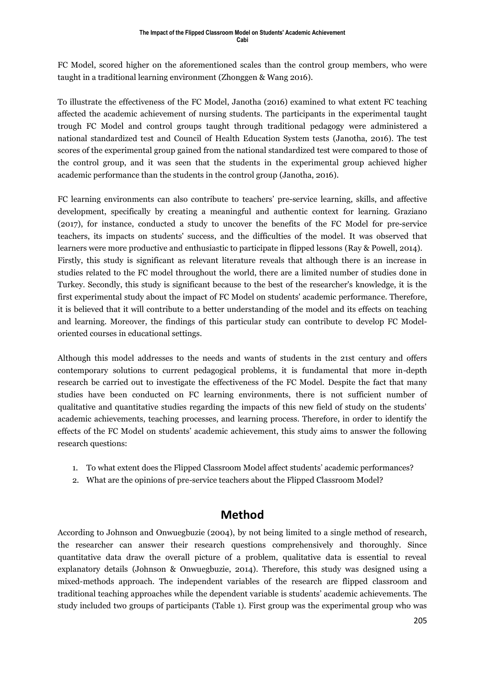FC Model, scored higher on the aforementioned scales than the control group members, who were taught in a traditional learning environment (Zhonggen & Wang 2016).

To illustrate the effectiveness of the FC Model, Janotha (2016) examined to what extent FC teaching affected the academic achievement of nursing students. The participants in the experimental taught trough FC Model and control groups taught through traditional pedagogy were administered a national standardized test and Council of Health Education System tests (Janotha, 2016). The test scores of the experimental group gained from the national standardized test were compared to those of the control group, and it was seen that the students in the experimental group achieved higher academic performance than the students in the control group (Janotha, 2016).

FC learning environments can also contribute to teachers' pre-service learning, skills, and affective development, specifically by creating a meaningful and authentic context for learning. Graziano (2017), for instance, conducted a study to uncover the benefits of the FC Model for pre-service teachers, its impacts on students' success, and the difficulties of the model. It was observed that learners were more productive and enthusiastic to participate in flipped lessons (Ray & Powell, 2014). Firstly, this study is significant as relevant literature reveals that although there is an increase in studies related to the FC model throughout the world, there are a limited number of studies done in Turkey. Secondly, this study is significant because to the best of the researcher's knowledge, it is the first experimental study about the impact of FC Model on students' academic performance. Therefore, it is believed that it will contribute to a better understanding of the model and its effects on teaching and learning. Moreover, the findings of this particular study can contribute to develop FC Modeloriented courses in educational settings.

Although this model addresses to the needs and wants of students in the 21st century and offers contemporary solutions to current pedagogical problems, it is fundamental that more in-depth research be carried out to investigate the effectiveness of the FC Model. Despite the fact that many studies have been conducted on FC learning environments, there is not sufficient number of qualitative and quantitative studies regarding the impacts of this new field of study on the students' academic achievements, teaching processes, and learning process. Therefore, in order to identify the effects of the FC Model on students' academic achievement, this study aims to answer the following research questions:

- 1. To what extent does the Flipped Classroom Model affect students' academic performances?
- 2. What are the opinions of pre-service teachers about the Flipped Classroom Model?

### **Method**

According to Johnson and Onwuegbuzie (2004), by not being limited to a single method of research, the researcher can answer their research questions comprehensively and thoroughly. Since quantitative data draw the overall picture of a problem, qualitative data is essential to reveal explanatory details (Johnson & Onwuegbuzie, 2014). Therefore, this study was designed using a mixed-methods approach. The independent variables of the research are flipped classroom and traditional teaching approaches while the dependent variable is students' academic achievements. The study included two groups of participants (Table 1). First group was the experimental group who was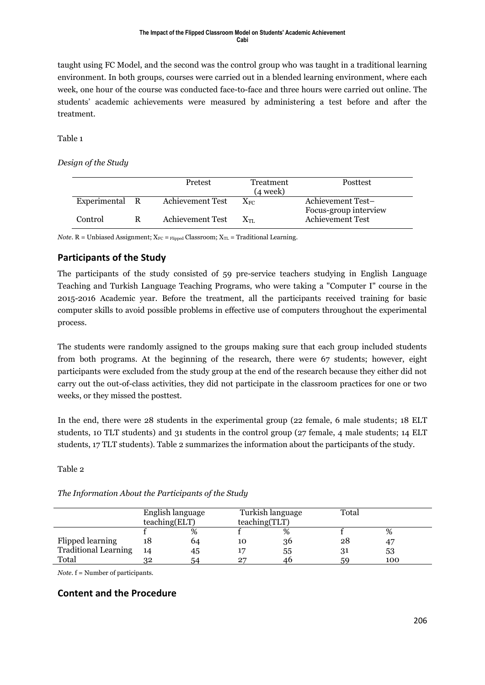taught using FC Model, and the second was the control group who was taught in a traditional learning environment. In both groups, courses were carried out in a blended learning environment, where each week, one hour of the course was conducted face-to-face and three hours were carried out online. The students' academic achievements were measured by administering a test before and after the treatment.

Table 1

*Design of the Study*

|                | Pretest          | Treatment<br>(4 week)             | <b>Posttest</b>                                  |
|----------------|------------------|-----------------------------------|--------------------------------------------------|
| Experimental R | Achievement Test | $\rm X_{\rm FC}$                  | Achievement Test-                                |
| Control        | Achievement Test | $\chi_{\scriptscriptstyle\rm TT}$ | Focus-group interview<br><b>Achievement Test</b> |

*Note.*  $R =$  Unbiased Assignment;  $X_{FC} =$  Flipped Classroom;  $X_{TL} =$  Traditional Learning.

#### **Participants of the Study**

The participants of the study consisted of 59 pre-service teachers studying in English Language Teaching and Turkish Language Teaching Programs, who were taking a "Computer I" course in the 2015-2016 Academic year. Before the treatment, all the participants received training for basic computer skills to avoid possible problems in effective use of computers throughout the experimental process.

The students were randomly assigned to the groups making sure that each group included students from both programs. At the beginning of the research, there were 67 students; however, eight participants were excluded from the study group at the end of the research because they either did not carry out the out-of-class activities, they did not participate in the classroom practices for one or two weeks, or they missed the posttest.

In the end, there were 28 students in the experimental group (22 female, 6 male students; 18 ELT students, 10 TLT students) and 31 students in the control group (27 female, 4 male students; 14 ELT students, 17 TLT students). Table 2 summarizes the information about the participants of the study.

Table 2

| The Information About the Participants of the Study |  |
|-----------------------------------------------------|--|
|                                                     |  |

|                             | English language<br>teaching(ELT) |    |               | Turkish language | Total |     |  |
|-----------------------------|-----------------------------------|----|---------------|------------------|-------|-----|--|
|                             |                                   |    | teaching(TLT) |                  |       |     |  |
|                             |                                   |    |               | %                |       | %   |  |
| Flipped learning            | 18                                | 64 | 10            | 36               | 28    | -47 |  |
| <b>Traditional Learning</b> | 14                                | 45 |               | 55               | 31    | 53  |  |
| Total                       | 32                                | 54 | 27            | 46               | 59    | 100 |  |

*Note.*  $f =$  Number of participants.

### **Content and the Procedure**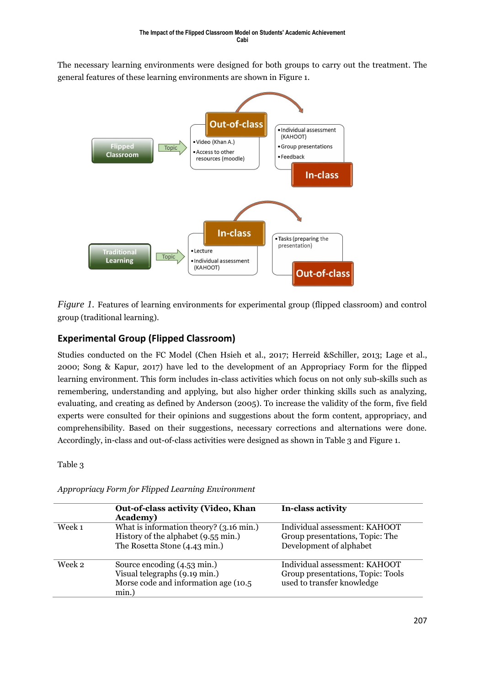The necessary learning environments were designed for both groups to carry out the treatment. The general features of these learning environments are shown in Figure 1.



*Figure 1.* Features of learning environments for experimental group (flipped classroom) and control group (traditional learning).

#### **Experimental Group (Flipped Classroom)**

Studies conducted on the FC Model (Chen Hsieh et al., 2017; Herreid &Schiller, 2013; Lage et al., 2000; Song & Kapur, 2017) have led to the development of an Appropriacy Form for the flipped learning environment. This form includes in-class activities which focus on not only sub-skills such as remembering, understanding and applying, but also higher order thinking skills such as analyzing, evaluating, and creating as defined by Anderson (2005). To increase the validity of the form, five field experts were consulted for their opinions and suggestions about the form content, appropriacy, and comprehensibility. Based on their suggestions, necessary corrections and alternations were done. Accordingly, in-class and out-of-class activities were designed as shown in Table 3 and Figure 1.

Table 3

|        | <b>Out-of-class activity (Video, Khan</b><br><b>Academy</b> )                                                   | In-class activity                                                                                |
|--------|-----------------------------------------------------------------------------------------------------------------|--------------------------------------------------------------------------------------------------|
| Week 1 | What is information theory? (3.16 min.)<br>History of the alphabet (9.55 min.)<br>The Rosetta Stone (4.43 min.) | Individual assessment: KAHOOT<br>Group presentations, Topic: The<br>Development of alphabet      |
| Week 2 | Source encoding (4.53 min.)<br>Visual telegraphs (9.19 min.)<br>Morse code and information age (10.5)<br>min.)  | Individual assessment: KAHOOT<br>Group presentations, Topic: Tools<br>used to transfer knowledge |

*Appropriacy Form for Flipped Learning Environment*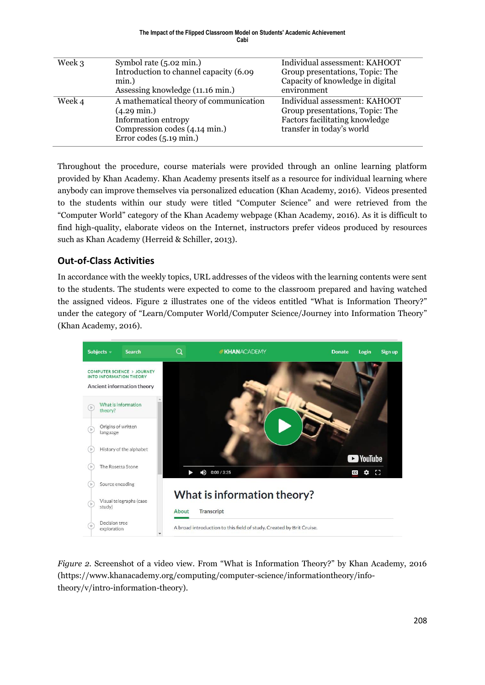| The Impact of the Flipped Classroom Model on Students' Academic Achievement |  |
|-----------------------------------------------------------------------------|--|
| Cabi                                                                        |  |

| Week 3 | Symbol rate (5.02 min.)<br>Introduction to channel capacity (6.09)<br>min.)<br>Assessing knowledge (11.16 min.)                                              | Individual assessment: KAHOOT<br>Group presentations, Topic: The<br>Capacity of knowledge in digital<br>environment             |
|--------|--------------------------------------------------------------------------------------------------------------------------------------------------------------|---------------------------------------------------------------------------------------------------------------------------------|
| Week 4 | A mathematical theory of communication<br>$(4.29 \text{ min.})$<br>Information entropy<br>Compression codes (4.14 min.)<br>Error codes $(5.19 \text{ min.})$ | Individual assessment: KAHOOT<br>Group presentations, Topic: The<br>Factors facilitating knowledge<br>transfer in today's world |

Throughout the procedure, course materials were provided through an online learning platform provided by Khan Academy. Khan Academy presents itself as a resource for individual learning where anybody can improve themselves via personalized education (Khan Academy, 2016). Videos presented to the students within our study were titled "Computer Science" and were retrieved from the "Computer World" category of the Khan Academy webpage (Khan Academy, 2016). As it is difficult to find high-quality, elaborate videos on the Internet, instructors prefer videos produced by resources such as Khan Academy (Herreid & Schiller, 2013).

#### **Out-of-Class Activities**

In accordance with the weekly topics, URL addresses of the videos with the learning contents were sent to the students. The students were expected to come to the classroom prepared and having watched the assigned videos. Figure 2 illustrates one of the videos entitled "What is Information Theory?" under the category of "Learn/Computer World/Computer Science/Journey into Information Theory" (Khan Academy, 2016).



*Figure 2.* Screenshot of a video view. From "What is Information Theory?" by Khan Academy, 2016 (https://www.khanacademy.org/computing/computer-science/informationtheory/infotheory/v/intro-information-theory).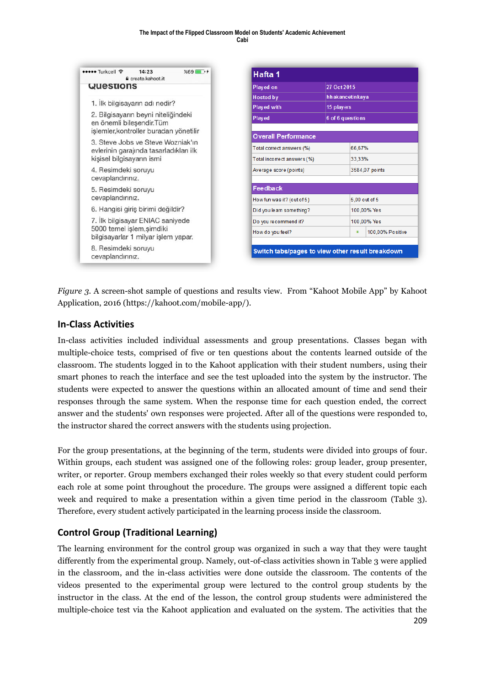| ••••• Turkcell 令<br>$%69$ +<br>14:23<br>e create.kahoot.it                                                | Hafta 1                     |                  |                                                  |  |
|-----------------------------------------------------------------------------------------------------------|-----------------------------|------------------|--------------------------------------------------|--|
| <b>QUESTIONS</b>                                                                                          | Played on                   | 27 Oct 2015      |                                                  |  |
|                                                                                                           | <b>Hosted by</b>            |                  | hhakancetinkaya                                  |  |
| 1. İlk bilgisayarın adı nedir?                                                                            | Played with                 | 15 players       |                                                  |  |
| 2. Bilgisayarın beyni niteliğindeki<br>en önemli bileşendir.Tüm<br>işlemler, kontroller buradan yönetilir | <b>Played</b>               | 6 of 6 questions |                                                  |  |
| 3. Steve Jobs ve Steve Wozniak'ın                                                                         | <b>Overall Performance</b>  |                  |                                                  |  |
| evlerinin garajında tasarladıkları ilk                                                                    | Total correct answers (%)   |                  | 66.67%                                           |  |
| kişisel bilgisayarın ismi                                                                                 | Total incorrect answers (%) |                  | 33.33%                                           |  |
| 4. Resimdeki soruyu<br>cevaplandırınız.                                                                   | Average score (points)      |                  | 3584,07 points                                   |  |
| 5. Resimdeki soruyu                                                                                       | Feedback                    |                  |                                                  |  |
| cevaplandırınız.                                                                                          | How fun was it? (out of 5)  |                  | 5.00 out of 5                                    |  |
| 6. Hangisi giriş birimi değildir?                                                                         | Did you learn something?    |                  | 100.00% Yes                                      |  |
| 7. İlk bilgisayar ENIAC saniyede                                                                          | Do you recommend it?        |                  | 100.00% Yes                                      |  |
| 5000 temel işlem, şimdiki<br>bilgisayarlar 1 milyar işlem yapar.                                          | How do you feel?            |                  | 100.00% Positive<br>金                            |  |
| 8. Resimdeki soruyu<br>cevaplandırınız.                                                                   |                             |                  | Switch tabs/pages to view other result breakdown |  |

*Figure 3.* A screen-shot sample of questions and results view. From "Kahoot Mobile App" by Kahoot Application, 2016 (https://kahoot.com/mobile-app/).

#### **In-Class Activities**

In-class activities included individual assessments and group presentations. Classes began with multiple-choice tests, comprised of five or ten questions about the contents learned outside of the classroom. The students logged in to the Kahoot application with their student numbers, using their smart phones to reach the interface and see the test uploaded into the system by the instructor. The students were expected to answer the questions within an allocated amount of time and send their responses through the same system. When the response time for each question ended, the correct answer and the students' own responses were projected. After all of the questions were responded to, the instructor shared the correct answers with the students using projection.

For the group presentations, at the beginning of the term, students were divided into groups of four. Within groups, each student was assigned one of the following roles: group leader, group presenter, writer, or reporter. Group members exchanged their roles weekly so that every student could perform each role at some point throughout the procedure. The groups were assigned a different topic each week and required to make a presentation within a given time period in the classroom (Table 3). Therefore, every student actively participated in the learning process inside the classroom.

### **Control Group (Traditional Learning)**

The learning environment for the control group was organized in such a way that they were taught differently from the experimental group. Namely, out-of-class activities shown in Table 3 were applied in the classroom, and the in-class activities were done outside the classroom. The contents of the videos presented to the experimental group were lectured to the control group students by the instructor in the class. At the end of the lesson, the control group students were administered the multiple-choice test via the Kahoot application and evaluated on the system. The activities that the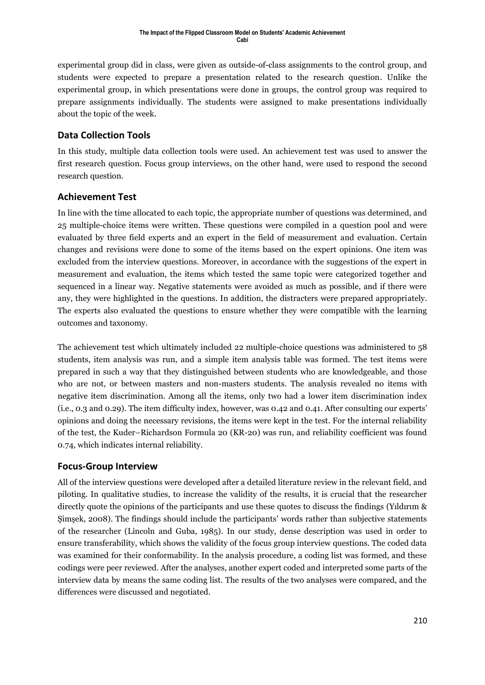experimental group did in class, were given as outside-of-class assignments to the control group, and students were expected to prepare a presentation related to the research question. Unlike the experimental group, in which presentations were done in groups, the control group was required to prepare assignments individually. The students were assigned to make presentations individually about the topic of the week.

#### **Data Collection Tools**

In this study, multiple data collection tools were used. An achievement test was used to answer the first research question. Focus group interviews, on the other hand, were used to respond the second research question.

#### **Achievement Test**

In line with the time allocated to each topic, the appropriate number of questions was determined, and 25 multiple-choice items were written. These questions were compiled in a question pool and were evaluated by three field experts and an expert in the field of measurement and evaluation. Certain changes and revisions were done to some of the items based on the expert opinions. One item was excluded from the interview questions. Moreover, in accordance with the suggestions of the expert in measurement and evaluation, the items which tested the same topic were categorized together and sequenced in a linear way. Negative statements were avoided as much as possible, and if there were any, they were highlighted in the questions. In addition, the distracters were prepared appropriately. The experts also evaluated the questions to ensure whether they were compatible with the learning outcomes and taxonomy.

The achievement test which ultimately included 22 multiple-choice questions was administered to 58 students, item analysis was run, and a simple item analysis table was formed. The test items were prepared in such a way that they distinguished between students who are knowledgeable, and those who are not, or between masters and non-masters students. The analysis revealed no items with negative item discrimination. Among all the items, only two had a lower item discrimination index (i.e., 0.3 and 0.29). The item difficulty index, however, was 0.42 and 0.41. After consulting our experts' opinions and doing the necessary revisions, the items were kept in the test. For the internal reliability of the test, the Kuder–Richardson Formula 20 (KR-20) was run, and reliability coefficient was found 0.74, which indicates internal reliability.

#### **Focus-Group Interview**

All of the interview questions were developed after a detailed literature review in the relevant field, and piloting. In qualitative studies, to increase the validity of the results, it is crucial that the researcher directly quote the opinions of the participants and use these quotes to discuss the findings (Yıldırım & Şimşek, 2008). The findings should include the participants' words rather than subjective statements of the researcher (Lincoln and Guba, 1985). In our study, dense description was used in order to ensure transferability, which shows the validity of the focus group interview questions. The coded data was examined for their conformability. In the analysis procedure, a coding list was formed, and these codings were peer reviewed. After the analyses, another expert coded and interpreted some parts of the interview data by means the same coding list. The results of the two analyses were compared, and the differences were discussed and negotiated.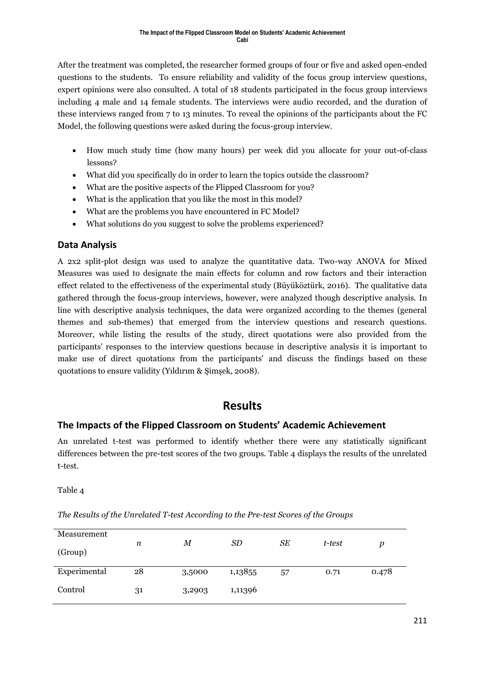After the treatment was completed, the researcher formed groups of four or five and asked open-ended questions to the students. To ensure reliability and validity of the focus group interview questions, expert opinions were also consulted. A total of 18 students participated in the focus group interviews including 4 male and 14 female students. The interviews were audio recorded, and the duration of these interviews ranged from 7 to 13 minutes. To reveal the opinions of the participants about the FC Model, the following questions were asked during the focus-group interview.

- How much study time (how many hours) per week did you allocate for your out-of-class lessons?
- What did you specifically do in order to learn the topics outside the classroom?
- What are the positive aspects of the Flipped Classroom for you?
- What is the application that you like the most in this model?
- What are the problems you have encountered in FC Model?
- What solutions do you suggest to solve the problems experienced?

#### **Data Analysis**

A 2x2 split-plot design was used to analyze the quantitative data. Two-way ANOVA for Mixed Measures was used to designate the main effects for column and row factors and their interaction effect related to the effectiveness of the experimental study (Büyüköztürk, 2016). The qualitative data gathered through the focus-group interviews, however, were analyzed though descriptive analysis. In line with descriptive analysis techniques, the data were organized according to the themes (general themes and sub-themes) that emerged from the interview questions and research questions. Moreover, while listing the results of the study, direct quotations were also provided from the participants' responses to the interview questions because in descriptive analysis it is important to make use of direct quotations from the participants' and discuss the findings based on these quotations to ensure validity (Yıldırım & Şimşek, 2008).

### **Results**

#### **The Impacts of the Flipped Classroom on Students' Academic Achievement**

An unrelated t-test was performed to identify whether there were any statistically significant differences between the pre-test scores of the two groups. Table 4 displays the results of the unrelated t-test.

Table 4

| Measurement<br>(Group) | n  | М      | <i>SD</i> | SE | t-test | p     |
|------------------------|----|--------|-----------|----|--------|-------|
| Experimental           | 28 | 3,5000 | 1,13855   | 57 | 0.71   | 0.478 |
| Control                | 31 | 3,2903 | 1,11396   |    |        |       |
|                        |    |        |           |    |        |       |

*The Results of the Unrelated T-test According to the Pre-test Scores of the Groups*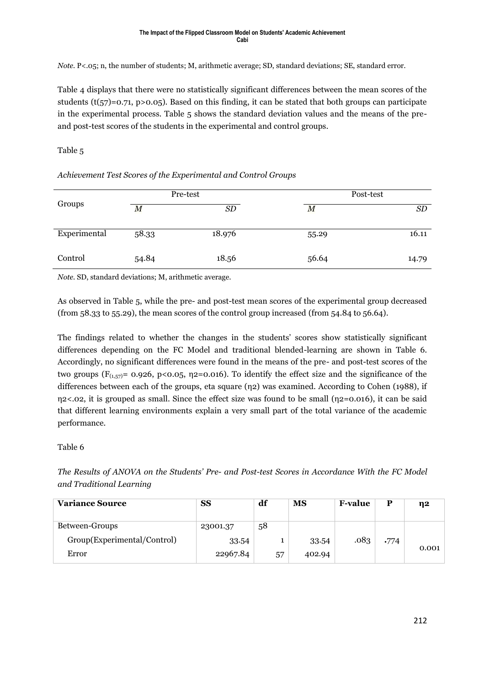*Note.* P<.05; n, the number of students; M, arithmetic average; SD, standard deviations; SE, standard error.

Table 4 displays that there were no statistically significant differences between the mean scores of the students ( $t(57)=0.71$ ,  $p>0.05$ ). Based on this finding, it can be stated that both groups can participate in the experimental process. Table 5 shows the standard deviation values and the means of the preand post-test scores of the students in the experimental and control groups.

#### Table 5

*Achievement Test Scores of the Experimental and Control Groups* 

|              | Pre-test       |           | Post-test        |           |
|--------------|----------------|-----------|------------------|-----------|
| Groups       | $\overline{M}$ | <i>SD</i> | $\boldsymbol{M}$ | <i>SD</i> |
| Experimental | 58.33          | 18.976    | 55.29            | 16.11     |
| Control      | 54.84          | 18.56     | 56.64            | 14.79     |

*Note.* SD, standard deviations; M, arithmetic average.

As observed in Table 5, while the pre- and post-test mean scores of the experimental group decreased (from 58.33 to 55.29), the mean scores of the control group increased (from 54.84 to 56.64).

The findings related to whether the changes in the students' scores show statistically significant differences depending on the FC Model and traditional blended-learning are shown in Table 6. Accordingly, no significant differences were found in the means of the pre- and post-test scores of the two groups  $(F_{(1,57)}= 0.926, p<0.05, p=0.016)$ . To identify the effect size and the significance of the differences between each of the groups, eta square (η2) was examined. According to Cohen (1988), if η2<.02, it is grouped as small. Since the effect size was found to be small (η2=0.016), it can be said that different learning environments explain a very small part of the total variance of the academic performance.

#### Table 6

*The Results of ANOVA on the Students' Pre- and Post-test Scores in Accordance With the FC Model and Traditional Learning*

| <b>Variance Source</b>      | <b>SS</b> | df | <b>MS</b> | <b>F-value</b> | P    | n2    |
|-----------------------------|-----------|----|-----------|----------------|------|-------|
| Between-Groups              | 23001.37  | 58 |           |                |      |       |
| Group(Experimental/Control) | 33.54     |    | 33.54     | .083           | .774 |       |
| Error                       | 22967.84  | 57 | 402.94    |                |      | 0.001 |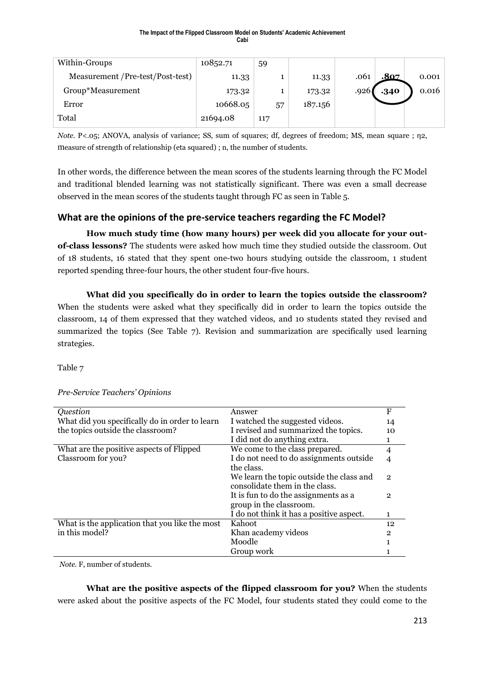| Within-Groups                    | 10852.71 | 59  |         |      |      |       |
|----------------------------------|----------|-----|---------|------|------|-------|
| Measurement /Pre-test/Post-test) | 11.33    |     | 11.33   | .061 | .807 | 0.001 |
| Group*Measurement                | 173.32   |     | 173.32  | .926 | .340 | 0.016 |
| Error                            | 10668.05 | 57  | 187.156 |      |      |       |
| Total                            | 21694.08 | 117 |         |      |      |       |

*Note.* P<.05; ANOVA, analysis of variance; SS, sum of squares; df, degrees of freedom; MS, mean square ;  $\eta$ 2, measure of strength of relationship (eta squared) ; n, the number of students.

In other words, the difference between the mean scores of the students learning through the FC Model and traditional blended learning was not statistically significant. There was even a small decrease observed in the mean scores of the students taught through FC as seen in Table 5.

#### **What are the opinions of the pre-service teachers regarding the FC Model?**

**How much study time (how many hours) per week did you allocate for your outof-class lessons?** The students were asked how much time they studied outside the classroom. Out of 18 students, 16 stated that they spent one-two hours studying outside the classroom, 1 student reported spending three-four hours, the other student four-five hours.

**What did you specifically do in order to learn the topics outside the classroom?** When the students were asked what they specifically did in order to learn the topics outside the classroom, 14 of them expressed that they watched videos, and 10 students stated they revised and summarized the topics (See Table 7). Revision and summarization are specifically used learning strategies.

Table 7

| <i><u><b>Ouestion</b></u></i>                  | Answer                                   | F            |
|------------------------------------------------|------------------------------------------|--------------|
| What did you specifically do in order to learn | I watched the suggested videos.          | 14           |
| the topics outside the classroom?              | I revised and summarized the topics.     | 10           |
|                                                | I did not do anything extra.             |              |
| What are the positive aspects of Flipped       | We come to the class prepared.           | 4            |
| Classroom for you?                             | I do not need to do assignments outside  | 4            |
|                                                | the class.                               |              |
|                                                | We learn the topic outside the class and | $\mathbf{2}$ |
|                                                | consolidate them in the class.           |              |
|                                                | It is fun to do the assignments as a     | $\mathbf{2}$ |
|                                                | group in the classroom.                  |              |
|                                                | I do not think it has a positive aspect. | $\mathbf{1}$ |
| What is the application that you like the most | Kahoot                                   | 12           |
| in this model?                                 | Khan academy videos                      | $\mathbf{2}$ |
|                                                | Moodle                                   |              |
|                                                | Group work                               |              |

*Pre-Service Teachers' Opinions*

*Note.* F, number of students.

**What are the positive aspects of the flipped classroom for you?** When the students were asked about the positive aspects of the FC Model, four students stated they could come to the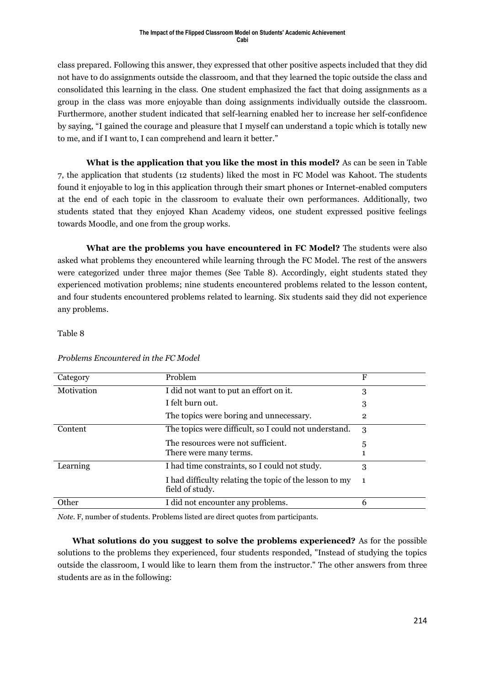class prepared. Following this answer, they expressed that other positive aspects included that they did not have to do assignments outside the classroom, and that they learned the topic outside the class and consolidated this learning in the class. One student emphasized the fact that doing assignments as a group in the class was more enjoyable than doing assignments individually outside the classroom. Furthermore, another student indicated that self-learning enabled her to increase her self-confidence by saying, "I gained the courage and pleasure that I myself can understand a topic which is totally new to me, and if I want to, I can comprehend and learn it better."

**What is the application that you like the most in this model?** As can be seen in Table 7, the application that students (12 students) liked the most in FC Model was Kahoot. The students found it enjoyable to log in this application through their smart phones or Internet-enabled computers at the end of each topic in the classroom to evaluate their own performances. Additionally, two students stated that they enjoyed Khan Academy videos, one student expressed positive feelings towards Moodle, and one from the group works.

**What are the problems you have encountered in FC Model?** The students were also asked what problems they encountered while learning through the FC Model. The rest of the answers were categorized under three major themes (See Table 8). Accordingly, eight students stated they experienced motivation problems; nine students encountered problems related to the lesson content, and four students encountered problems related to learning. Six students said they did not experience any problems.

Table 8

| Category   | Problem                                                                    | F |
|------------|----------------------------------------------------------------------------|---|
| Motivation | I did not want to put an effort on it.                                     | 3 |
|            | I felt burn out.                                                           | 3 |
|            | The topics were boring and unnecessary.                                    | 2 |
| Content    | The topics were difficult, so I could not understand.                      | 3 |
|            | The resources were not sufficient.<br>There were many terms.               | 5 |
| Learning   | I had time constraints, so I could not study.                              | 3 |
|            | I had difficulty relating the topic of the lesson to my<br>field of study. | 1 |
| Other      | I did not encounter any problems.                                          | 6 |

#### *Problems Encountered in the FC Model*

*Note.* F, number of students. Problems listed are direct quotes from participants.

**What solutions do you suggest to solve the problems experienced?** As for the possible solutions to the problems they experienced, four students responded, "Instead of studying the topics outside the classroom, I would like to learn them from the instructor." The other answers from three students are as in the following: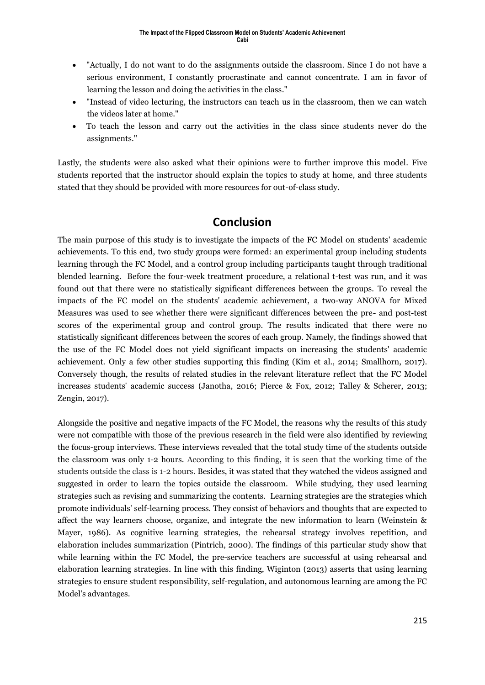- "Actually, I do not want to do the assignments outside the classroom. Since I do not have a serious environment, I constantly procrastinate and cannot concentrate. I am in favor of learning the lesson and doing the activities in the class."
- "Instead of video lecturing, the instructors can teach us in the classroom, then we can watch the videos later at home."
- To teach the lesson and carry out the activities in the class since students never do the assignments."

Lastly, the students were also asked what their opinions were to further improve this model. Five students reported that the instructor should explain the topics to study at home, and three students stated that they should be provided with more resources for out-of-class study.

### **Conclusion**

The main purpose of this study is to investigate the impacts of the FC Model on students' academic achievements. To this end, two study groups were formed: an experimental group including students learning through the FC Model, and a control group including participants taught through traditional blended learning. Before the four-week treatment procedure, a relational t-test was run, and it was found out that there were no statistically significant differences between the groups. To reveal the impacts of the FC model on the students' academic achievement, a two-way ANOVA for Mixed Measures was used to see whether there were significant differences between the pre- and post-test scores of the experimental group and control group. The results indicated that there were no statistically significant differences between the scores of each group. Namely, the findings showed that the use of the FC Model does not yield significant impacts on increasing the students' academic achievement. Only a few other studies supporting this finding (Kim et al., 2014; Smallhorn, 2017). Conversely though, the results of related studies in the relevant literature reflect that the FC Model increases students' academic success (Janotha, 2016; Pierce & Fox, 2012; Talley & Scherer, 2013; Zengin, 2017).

Alongside the positive and negative impacts of the FC Model, the reasons why the results of this study were not compatible with those of the previous research in the field were also identified by reviewing the focus-group interviews. These interviews revealed that the total study time of the students outside the classroom was only 1-2 hours. According to this finding, it is seen that the working time of the students outside the class is 1-2 hours. Besides, it was stated that they watched the videos assigned and suggested in order to learn the topics outside the classroom. While studying, they used learning strategies such as revising and summarizing the contents. Learning strategies are the strategies which promote individuals' self-learning process. They consist of behaviors and thoughts that are expected to affect the way learners choose, organize, and integrate the new information to learn (Weinstein & Mayer, 1986). As cognitive learning strategies, the rehearsal strategy involves repetition, and elaboration includes summarization (Pintrich, 2000). The findings of this particular study show that while learning within the FC Model, the pre-service teachers are successful at using rehearsal and elaboration learning strategies. In line with this finding, Wiginton (2013) asserts that using learning strategies to ensure student responsibility, self-regulation, and autonomous learning are among the FC Model's advantages.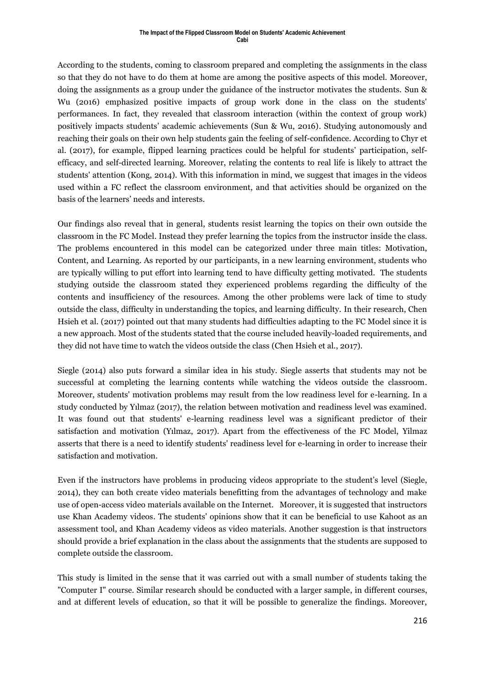#### **The Impact of the Flipped Classroom Model on Students' Academic Achievement Cabi**

According to the students, coming to classroom prepared and completing the assignments in the class so that they do not have to do them at home are among the positive aspects of this model. Moreover, doing the assignments as a group under the guidance of the instructor motivates the students. Sun & Wu (2016) emphasized positive impacts of group work done in the class on the students' performances. In fact, they revealed that classroom interaction (within the context of group work) positively impacts students' academic achievements (Sun & Wu, 2016). Studying autonomously and reaching their goals on their own help students gain the feeling of self-confidence. According to Chyr et al. (2017), for example, flipped learning practices could be helpful for students' participation, selfefficacy, and self-directed learning. Moreover, relating the contents to real life is likely to attract the students' attention (Kong, 2014). With this information in mind, we suggest that images in the videos used within a FC reflect the classroom environment, and that activities should be organized on the basis of the learners' needs and interests.

Our findings also reveal that in general, students resist learning the topics on their own outside the classroom in the FC Model. Instead they prefer learning the topics from the instructor inside the class. The problems encountered in this model can be categorized under three main titles: Motivation, Content, and Learning. As reported by our participants, in a new learning environment, students who are typically willing to put effort into learning tend to have difficulty getting motivated. The students studying outside the classroom stated they experienced problems regarding the difficulty of the contents and insufficiency of the resources. Among the other problems were lack of time to study outside the class, difficulty in understanding the topics, and learning difficulty. In their research, Chen Hsieh et al. (2017) pointed out that many students had difficulties adapting to the FC Model since it is a new approach. Most of the students stated that the course included heavily-loaded requirements, and they did not have time to watch the videos outside the class (Chen Hsieh et al., 2017).

Siegle (2014) also puts forward a similar idea in his study. Siegle asserts that students may not be successful at completing the learning contents while watching the videos outside the classroom. Moreover, students' motivation problems may result from the low readiness level for e-learning. In a study conducted by Yılmaz (2017), the relation between motivation and readiness level was examined. It was found out that students' e-learning readiness level was a significant predictor of their satisfaction and motivation (Yılmaz, 2017). Apart from the effectiveness of the FC Model, Yilmaz asserts that there is a need to identify students' readiness level for e-learning in order to increase their satisfaction and motivation.

Even if the instructors have problems in producing videos appropriate to the student's level (Siegle, 2014), they can both create video materials benefitting from the advantages of technology and make use of open-access video materials available on the Internet. Moreover, it is suggested that instructors use Khan Academy videos. The students' opinions show that it can be beneficial to use Kahoot as an assessment tool, and Khan Academy videos as video materials. Another suggestion is that instructors should provide a brief explanation in the class about the assignments that the students are supposed to complete outside the classroom.

This study is limited in the sense that it was carried out with a small number of students taking the "Computer I" course. Similar research should be conducted with a larger sample, in different courses, and at different levels of education, so that it will be possible to generalize the findings. Moreover,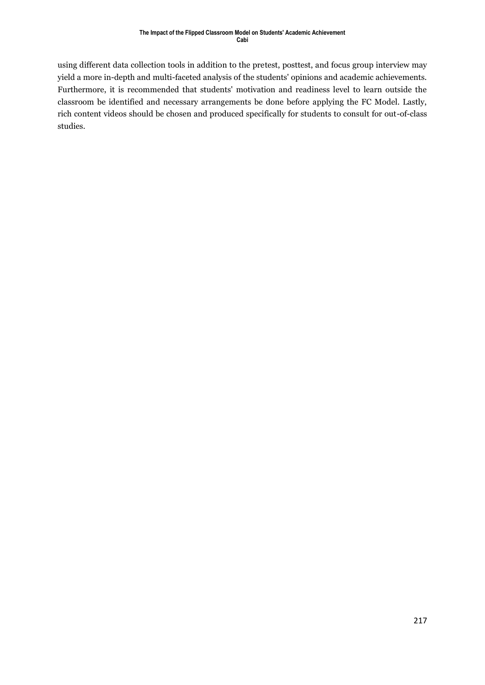using different data collection tools in addition to the pretest, posttest, and focus group interview may yield a more in-depth and multi-faceted analysis of the students' opinions and academic achievements. Furthermore, it is recommended that students' motivation and readiness level to learn outside the classroom be identified and necessary arrangements be done before applying the FC Model. Lastly, rich content videos should be chosen and produced specifically for students to consult for out-of-class studies.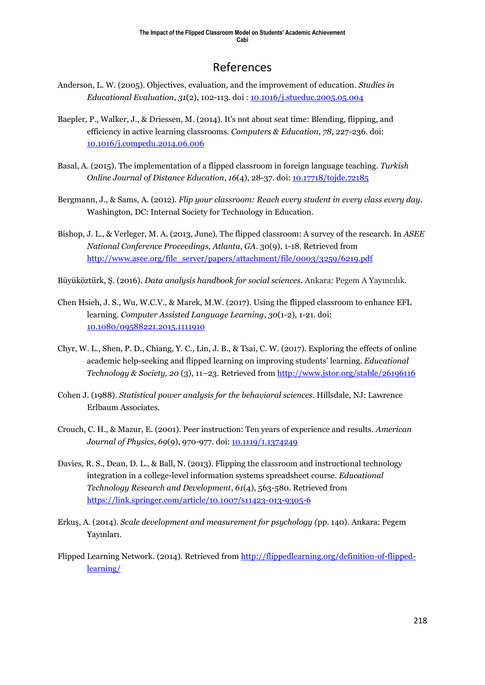## References

- Anderson, L. W. (2005). Objectives, evaluation, and the improvement of education. *Studies in Educational Evaluation*, *31*(2), 102-113. doi [: 10.1016/j.stueduc.2005.05.004](../../AppData/AppData/Roaming/Microsoft/Word/doi.org/10.1016/j.stueduc.2005.05.004)
- Baepler, P., Walker, J., & Driessen, M. (2014). It's not about seat time: Blending, flipping, and efficiency in active learning classrooms. *Computers & Education, 78*, 227-236. doi: [10.1016/j.compedu.2014.06.006](../../AppData/AppData/Roaming/Microsoft/Word/doi.org/10.1016/j.compedu.2014.06.006)
- Basal, A. (2015). The implementation of a flipped classroom in foreign language teaching. *Turkish Online Journal of Distance Education*, *16*(4), 28-37. doi: [10.17718/tojde.72185](../../AppData/AppData/Roaming/Microsoft/Word/doi.org/10.17718/tojde.72185)
- Bergmann, J., & Sams, A. (2012). *Flip your classroom: Reach every student in every class every day*. Washington, DC: Internal Society for Technology in Education.
- Bishop, J. L., & Verleger, M. A. (2013, June). The flipped classroom: A survey of the research. In *ASEE National Conference Proceedings, Atlanta, GA*. 30(9), 1-18. Retrieved from [http://www.asee.org/file\\_server/papers/attachment/file/0003/3259/6219.pdf](http://www.asee.org/file_server/papers/attachment/file/0003/3259/6219.pdf)
- Büyüköztürk, Ş. (2016). *[Data analysis handbook for social sciences.](javascript:void(0))* Ankara: Pegem A Yayıncılık.
- Chen Hsieh, J. S., Wu, W.C.V., & Marek, M.W. (2017). Using the flipped classroom to enhance EFL learning. *Computer Assisted Language Learning*, *30*(1-2), 1-21. doi: [10.1080/09588221.2015.1111910](../../AppData/AppData/Roaming/Microsoft/Word/doi.org/10.1080/09588221.2015.1111910)
- Chyr, W. L., Shen, P. D., Chiang, Y. C., Lin, J. B., & Tsai, C. W. (2017). Exploring the effects of online academic help-seeking and flipped learning on improving students' learning. *Educational Technology & Society, 20* (3), 11–23. Retrieved fro[m http://www.jstor.org/stable/26196116](http://www.jstor.org/stable/26196116)
- Cohen J. (1988). *Statistical power analysis for the behavioral sciences*. Hillsdale, NJ: Lawrence Erlbaum Associates.
- Crouch, C. H., & Mazur, E. (2001). Peer instruction: Ten years of experience and results. *American Journal of Physics*, *69*(9), 970-977. doi: [10.1119/1.1374249](../../AppData/AppData/Roaming/Microsoft/Word/doi.org/10.1119/1.1374249)
- Davies, R. S., Dean, D. L., & Ball, N. (2013). Flipping the classroom and instructional technology integration in a college-level information systems spreadsheet course. *Educational Technology Research and Development*, *61*(4), 563-580. Retrieved from <https://link.springer.com/article/10.1007/s11423-013-9305-6>
- Erkuş, A. (2014). *Scale development and measurement for psychology (*pp. 140). Ankara: Pegem Yayınları.
- Flipped Learning Network. (2014). Retrieved from [http://flippedlearning.org/definition-of-flipped](http://flippedlearning.org/definition-of-flipped-learning/)[learning/](http://flippedlearning.org/definition-of-flipped-learning/)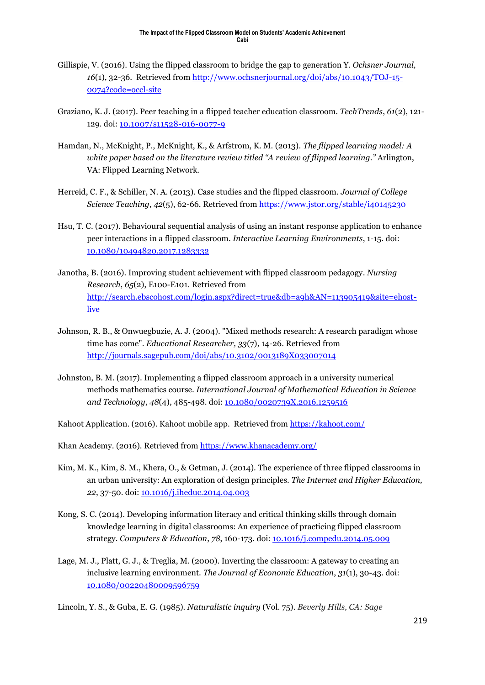- Gillispie, V. (2016). Using the flipped classroom to bridge the gap to generation Y. *Ochsner Journal, 16*(1), 32-36. Retrieved from [http://www.ochsnerjournal.org/doi/abs/10.1043/TOJ-15-](http://www.ochsnerjournal.org/doi/abs/10.1043/TOJ-15-0074?code=occl-site) [0074?code=occl-site](http://www.ochsnerjournal.org/doi/abs/10.1043/TOJ-15-0074?code=occl-site)
- Graziano, K. J. (2017). Peer teaching in a flipped teacher education classroom. *TechTrends*, *61*(2), 121- 129. doi: [10.1007/s11528-016-0077-9](../../AppData/AppData/Roaming/Microsoft/Word/doi.org/10.1007/s11528-016-0077-9)
- Hamdan, N., McKnight, P., McKnight, K., & Arfstrom, K. M. (2013). *The flipped learning model: A white paper based on the literature review titled "A review of flipped learning."* Arlington, VA: Flipped Learning Network.
- Herreid, C. F., & Schiller, N. A. (2013). Case studies and the flipped classroom. *Journal of College Science Teaching*, *42*(5), 62-66. Retrieved from<https://www.jstor.org/stable/i40145230>
- Hsu, T. C. (2017). Behavioural sequential analysis of using an instant response application to enhance peer interactions in a flipped classroom. *Interactive Learning Environments*, 1-15. doi: [10.1080/10494820.2017.1283332](../../AppData/AppData/Roaming/Microsoft/Word/doi.org/10.1080/10494820.2017.1283332)
- Janotha, B. (2016). Improving student achievement with flipped classroom pedagogy. *Nursing Research*, *65*(2), E100-E101. Retrieved from [http://search.ebscohost.com/login.aspx?direct=true&db=a9h&AN=113905419&site=ehost](http://search.ebscohost.com/login.aspx?direct=true&db=a9h&AN=113905419&site=ehost-live)[live](http://search.ebscohost.com/login.aspx?direct=true&db=a9h&AN=113905419&site=ehost-live)
- Johnson, R. B., & Onwuegbuzie, A. J. (2004). "Mixed methods research: A research paradigm whose time has come". *Educational Researcher, 33*(7), 14-26. Retrieved from <http://journals.sagepub.com/doi/abs/10.3102/0013189X033007014>
- Johnston, B. M. (2017). Implementing a flipped classroom approach in a university numerical methods mathematics course. *International Journal of Mathematical Education in Science and Technology*, *48*(4), 485-498. doi: [10.1080/0020739X.2016.1259516](https://doi.org/10.1080/0020739X.2016.1259516)
- Kahoot Application. (2016). Kahoot mobile app. Retrieved from<https://kahoot.com/>

Khan Academy. (2016). Retrieved from <https://www.khanacademy.org/>

- Kim, M. K., Kim, S. M., Khera, O., & Getman, J. (2014). The experience of three flipped classrooms in an urban university: An exploration of design principles. *The Internet and Higher Education, 22*, 37-50. doi: [10.1016/j.iheduc.2014.04.003](../../AppData/AppData/Roaming/Microsoft/Word/doi.org/10.1016/j.iheduc.2014.04.003)
- Kong, S. C. (2014). Developing information literacy and critical thinking skills through domain knowledge learning in digital classrooms: An experience of practicing flipped classroom strategy. *Computers & Education*, *78*, 160-173. doi: [10.1016/j.compedu.2014.05.009](https://doi.org/10.1016/j.compedu.2014.05.009)
- Lage, M. J., Platt, G. J., & Treglia, M. (2000). Inverting the classroom: A gateway to creating an inclusive learning environment. *The Journal of Economic Education*, *31*(1), 30-43. doi: [10.1080/00220480009596759](https://doi.org/10.1080/00220480009596759)

Lincoln, Y. S., & Guba, E. G. (1985). *Naturalistic inquiry* (Vol. 75). *Beverly Hills, CA: Sage*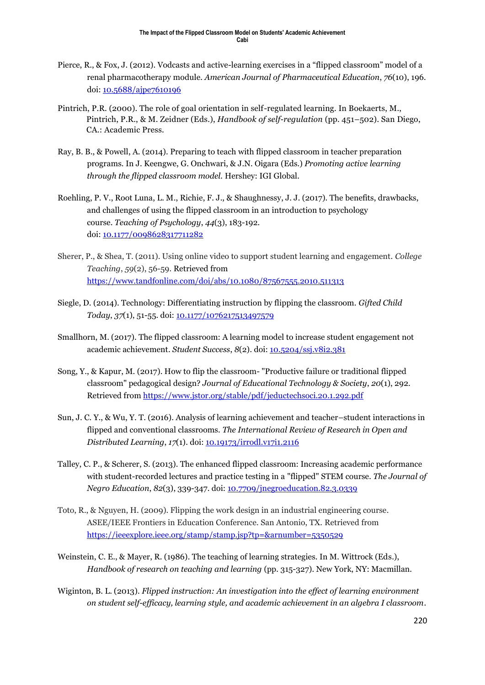- Pierce, R., & Fox, J. (2012). Vodcasts and active-learning exercises in a "flipped classroom" model of a renal pharmacotherapy module. *American Journal of Pharmaceutical Education*, *76*(10), 196. doi: [10.5688/ajpe7610196](https://doi.org/10.5688/ajpe7610196)
- Pintrich, P.R. (2000). The role of goal orientation in self-regulated learning. In Boekaerts, M., Pintrich, P.R., & M. Zeidner (Eds.), *Handbook of self-regulation* (pp. 451–502). San Diego, CA.: Academic Press.
- Ray, B. B., & Powell, A. (2014). Preparing to teach with flipped classroom in teacher preparation programs. In J. Keengwe, G. Onchwari, & J.N. Oigara (Eds.) *Promoting active learning through the flipped classroom model.* Hershey: IGI Global.
- Roehling, P. V., Root Luna, L. M., Richie, F. J., & Shaughnessy, J. J. (2017). The benefits, drawbacks, and challenges of using the flipped classroom in an introduction to psychology course. *Teaching of Psychology*, *44*(3), 183-192. doi: [10.1177/0098628317711282](https://doi.org/10.1177/0098628317711282)
- Sherer, P., & Shea, T. (2011). Using online video to support student learning and engagement. *College Teaching*, *59*(2), 56-59. Retrieved from <https://www.tandfonline.com/doi/abs/10.1080/87567555.2010.511313>
- Siegle, D. (2014). Technology: Differentiating instruction by flipping the classroom. *Gifted Child Today*, *37*(1), 51-55. doi: [10.1177/1076217513497579](http://journals.sagepub.com/doi/pdf/10.1177/1076217513497579)
- Smallhorn, M. (2017). The flipped classroom: A learning model to increase student engagement not academic achievement. *Student Success*, *8*(2). doi: [10.5204/ssj.v8i2.381](https://doi.org/10.5204/ssj.v8i2.381)
- Song, Y., & Kapur, M. (2017). How to flip the classroom- "Productive failure or traditional flipped classroom" pedagogical design? *Journal of Educational Technology & Society*, *20*(1), 292. Retrieved from <https://www.jstor.org/stable/pdf/jeductechsoci.20.1.292.pdf>
- Sun, J. C. Y., & Wu, Y. T. (2016). Analysis of learning achievement and teacher–student interactions in flipped and conventional classrooms. *The International Review of Research in Open and Distributed Learning*, *17*(1). doi: [10.19173/irrodl.v17i1.2116](http://dx.doi.org/10.19173/irrodl.v17i1.2116)
- Talley, C. P., & Scherer, S. (2013). The enhanced flipped classroom: Increasing academic performance with student-recorded lectures and practice testing in a "flipped" STEM course. *The Journal of Negro Education*, *82*(3), 339-347. doi: [10.7709/jnegroeducation.82.3.0339](https://www.jstor.org/stable/10.7709/jnegroeducation.82.3.0339)
- Toto, R., & Nguyen, H. (2009). Flipping the work design in an industrial engineering course. ASEE/IEEE Frontiers in Education Conference. San Antonio, TX. Retrieved from <https://ieeexplore.ieee.org/stamp/stamp.jsp?tp=&arnumber=5350529>
- Weinstein, C. E., & Mayer, R. (1986). The teaching of learning strategies. In M. Wittrock (Eds.), *Handbook of research on teaching and learning* (pp. 315-327). New York, NY: Macmillan.
- Wiginton, B. L. (2013). *Flipped instruction: An investigation into the effect of learning environment on student self-efficacy, learning style, and academic achievement in an algebra I classroom*.